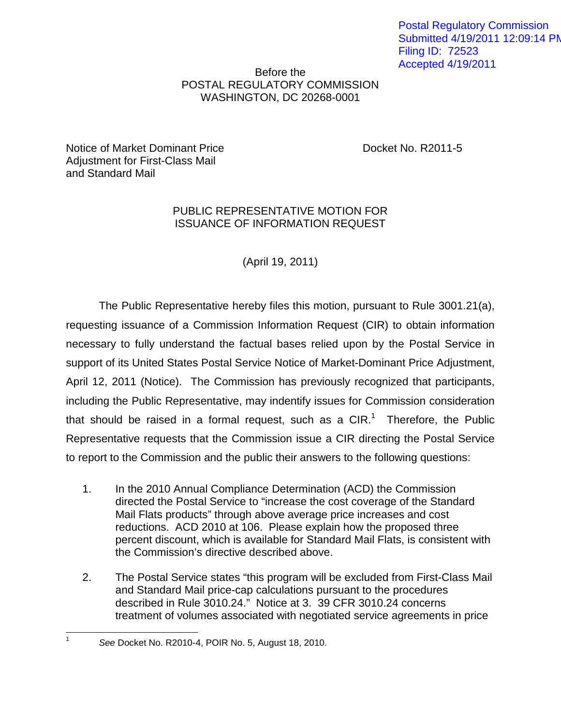Postal Regulatory Commission Submitted 4/19/2011 12:09:14 PM Filing ID: 72523 Accepted 4/19/2011

## Before the POSTAL REGULATORY COMMISSION WASHINGTON, DC 20268-0001

Notice of Market Dominant Price **Docket No. R2011-5** Adjustment for First-Class Mail and Standard Mail

## PUBLIC REPRESENTATIVE MOTION FOR ISSUANCE OF INFORMATION REQUEST

(April 19, 2011)

The Public Representative hereby files this motion, pursuant to Rule 3001.21(a), requesting issuance of a Commission Information Request (CIR) to obtain information necessary to fully understand the factual bases relied upon by the Postal Service in support of its United States Postal Service Notice of Market-Dominant Price Adjustment, April 12, 2011 (Notice). The Commission has previously recognized that participants, including the Public Representative, may indentify issues for Commission consideration that should be raised in a formal request, such as a  $CIR$ <sup>1</sup>. Therefore, the Public Representative requests that the Commission issue a CIR directing the Postal Service to report to the Commission and the public their answers to the following questions:

- 1. In the 2010 Annual Compliance Determination (ACD) the Commission directed the Postal Service to "increase the cost coverage of the Standard Mail Flats products" through above average price increases and cost reductions. ACD 2010 at 106. Please explain how the proposed three percent discount, which is available for Standard Mail Flats, is consistent with the Commission's directive described above.
- 2. The Postal Service states "this program will be excluded from First-Class Mail and Standard Mail price-cap calculations pursuant to the procedures described in Rule 3010.24." Notice at 3. 39 CFR 3010.24 concerns treatment of volumes associated with negotiated service agreements in price

 $\overline{a}$ 1

See Docket No. R2010-4, POIR No. 5, August 18, 2010.